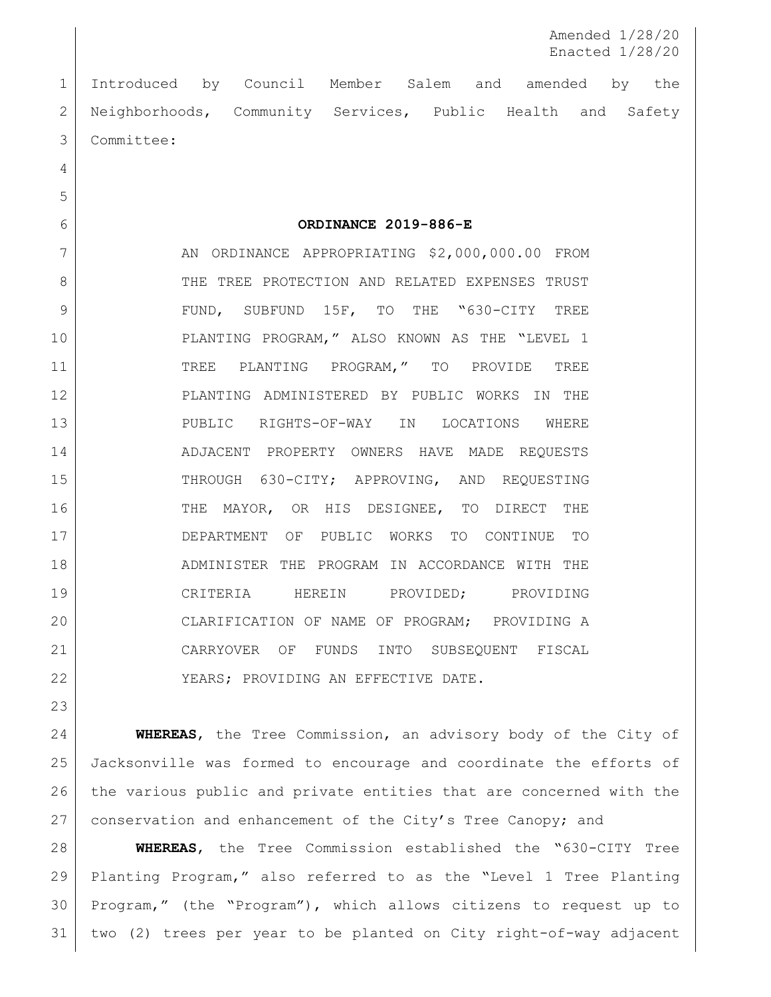Amended 1/28/20 Enacted 1/28/20

 Introduced by Council Member Salem and amended by the 2 | Neighborhoods, Community Services, Public Health and Safety Committee:

**ORDINANCE 2019-886-E**

7 | AN ORDINANCE APPROPRIATING \$2,000,000.00 FROM 8 THE TREE PROTECTION AND RELATED EXPENSES TRUST 9 FUND, SUBFUND 15F, TO THE "630-CITY TREE PLANTING PROGRAM," ALSO KNOWN AS THE "LEVEL 1 11 TREE PLANTING PROGRAM," TO PROVIDE TREE PLANTING ADMINISTERED BY PUBLIC WORKS IN THE PUBLIC RIGHTS-OF-WAY IN LOCATIONS WHERE 14 | ADJACENT PROPERTY OWNERS HAVE MADE REQUESTS 15 THROUGH 630-CITY; APPROVING, AND REQUESTING 16 THE MAYOR, OR HIS DESIGNEE, TO DIRECT THE DEPARTMENT OF PUBLIC WORKS TO CONTINUE TO ADMINISTER THE PROGRAM IN ACCORDANCE WITH THE CRITERIA HEREIN PROVIDED; PROVIDING 20 CLARIFICATION OF NAME OF PROGRAM; PROVIDING A CARRYOVER OF FUNDS INTO SUBSEQUENT FISCAL 22 | YEARS; PROVIDING AN EFFECTIVE DATE.

 **WHEREAS**, the Tree Commission, an advisory body of the City of Jacksonville was formed to encourage and coordinate the efforts of the various public and private entities that are concerned with the 27 conservation and enhancement of the City's Tree Canopy; and

 **WHEREAS**, the Tree Commission established the "630-CITY Tree Planting Program," also referred to as the "Level 1 Tree Planting Program," (the "Program"), which allows citizens to request up to two (2) trees per year to be planted on City right-of-way adjacent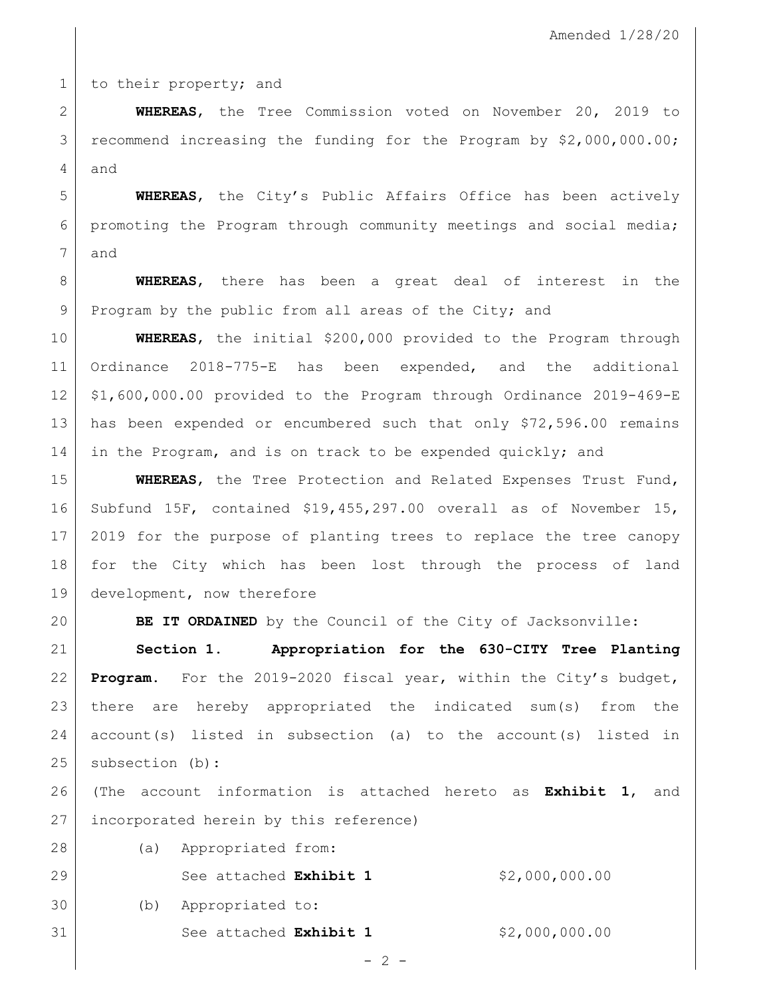1 to their property; and

 **WHEREAS**, the Tree Commission voted on November 20, 2019 to recommend increasing the funding for the Program by \$2,000,000.00; and

 **WHEREAS**, the City's Public Affairs Office has been actively promoting the Program through community meetings and social media; and

 **WHEREAS**, there has been a great deal of interest in the 9 Program by the public from all areas of the City; and

 **WHEREAS**, the initial \$200,000 provided to the Program through Ordinance 2018-775-E has been expended, and the additional \$1,600,000.00 provided to the Program through Ordinance 2019-469-E 13 has been expended or encumbered such that only \$72,596.00 remains 14 in the Program, and is on track to be expended quickly; and

 **WHEREAS**, the Tree Protection and Related Expenses Trust Fund, Subfund 15F, contained \$19,455,297.00 overall as of November 15, 2019 for the purpose of planting trees to replace the tree canopy for the City which has been lost through the process of land development, now therefore

**BE IT ORDAINED** by the Council of the City of Jacksonville:

 **Section 1. Appropriation for the 630-CITY Tree Planting Program.** For the 2019-2020 fiscal year, within the City's budget, there are hereby appropriated the indicated sum(s) from the account(s) listed in subsection (a) to the account(s) listed in 25 subsection (b):

 (The account information is attached hereto as **Exhibit 1**, and incorporated herein by this reference)

(a) Appropriated from:

See attached **Exhibit 1** \$2,000,000.00

(b) Appropriated to:

See attached **Exhibit 1** \$2,000,000.00

 $- 2 -$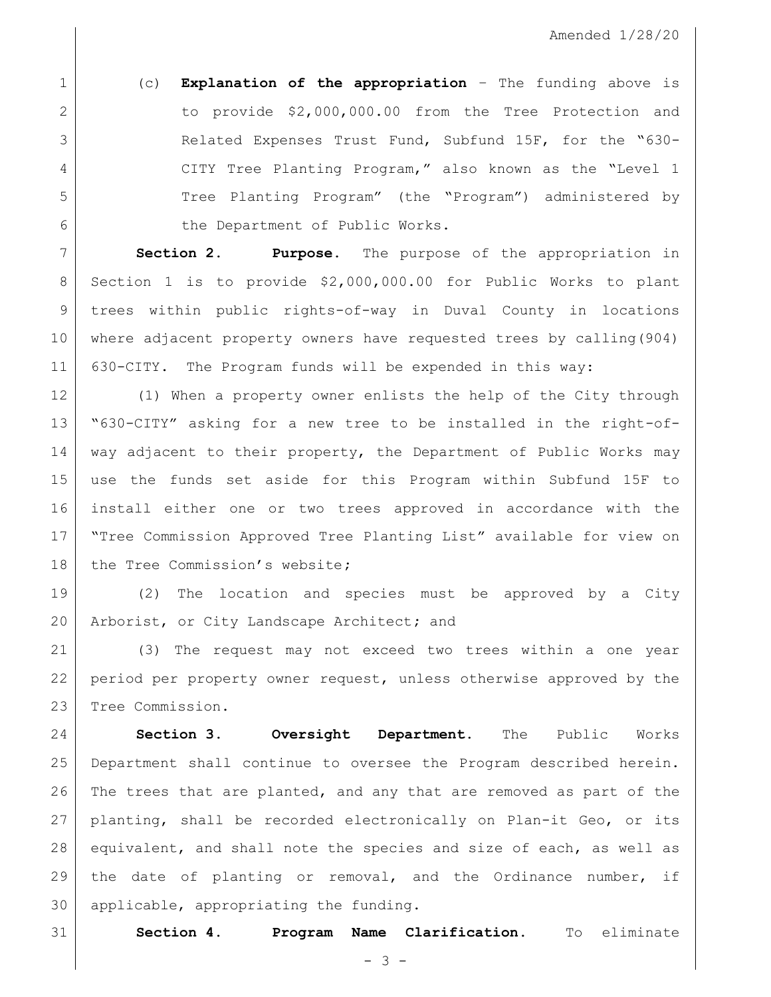(c) **Explanation of the appropriation** – The funding above is to provide \$2,000,000.00 from the Tree Protection and Related Expenses Trust Fund, Subfund 15F, for the "630- 4 CITY Tree Planting Program," also known as the "Level 1 Tree Planting Program" (the "Program") administered by 6 the Department of Public Works.

 **Section 2. Purpose.** The purpose of the appropriation in Section 1 is to provide \$2,000,000.00 for Public Works to plant trees within public rights-of-way in Duval County in locations where adjacent property owners have requested trees by calling(904) 630-CITY. The Program funds will be expended in this way:

 (1) When a property owner enlists the help of the City through "630-CITY" asking for a new tree to be installed in the right-of- way adjacent to their property, the Department of Public Works may use the funds set aside for this Program within Subfund 15F to install either one or two trees approved in accordance with the "Tree Commission Approved Tree Planting List" available for view on the Tree Commission's website**;**

 (2) The location and species must be approved by a City Arborist, or City Landscape Architect**;** and

 (3) The request may not exceed two trees within a one year period per property owner request, unless otherwise approved by the Tree Commission.

 **Section 3. Oversight Department.** The Public Works Department shall continue to oversee the Program described herein. The trees that are planted, and any that are removed as part of the planting, shall be recorded electronically on Plan-it Geo, or its equivalent, and shall note the species and size of each, as well as the date of planting or removal, and the Ordinance number, if applicable, appropriating the funding.

**Section 4. Program Name Clarification**. To eliminate